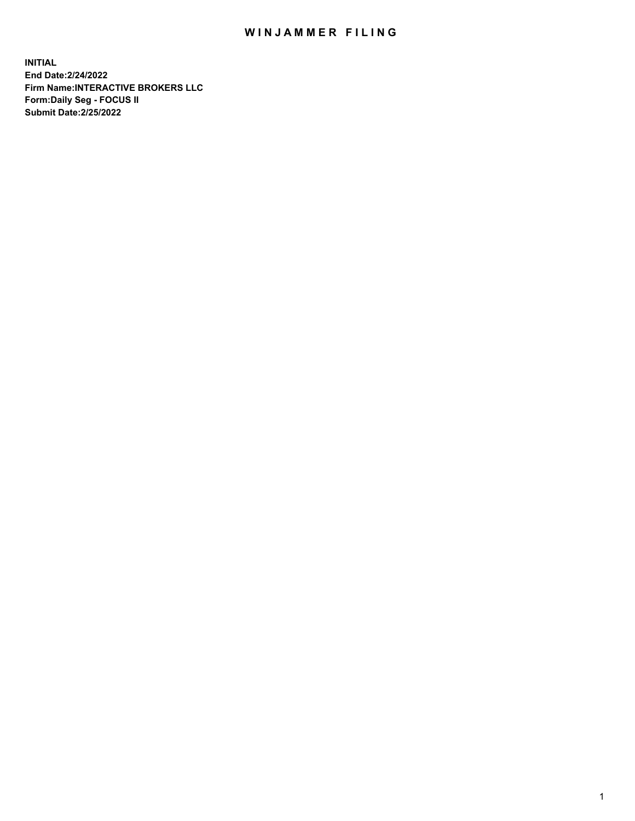## WIN JAMMER FILING

**INITIAL End Date:2/24/2022 Firm Name:INTERACTIVE BROKERS LLC Form:Daily Seg - FOCUS II Submit Date:2/25/2022**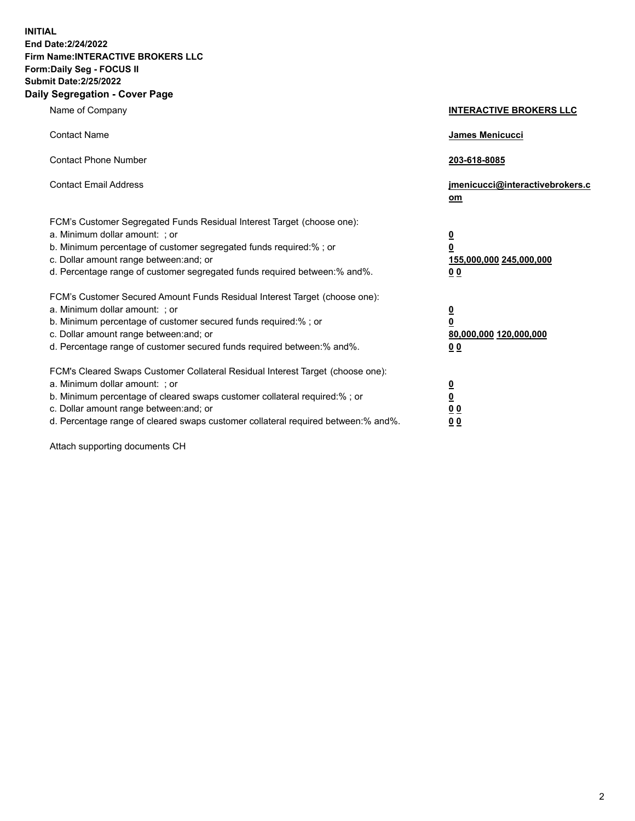**INITIAL End Date:2/24/2022 Firm Name:INTERACTIVE BROKERS LLC Form:Daily Seg - FOCUS II Submit Date:2/25/2022 Daily Segregation - Cover Page**

| Name of Company                                                                                                                                                                                                                                                                                                               | <b>INTERACTIVE BROKERS LLC</b>                                                                  |  |
|-------------------------------------------------------------------------------------------------------------------------------------------------------------------------------------------------------------------------------------------------------------------------------------------------------------------------------|-------------------------------------------------------------------------------------------------|--|
| <b>Contact Name</b>                                                                                                                                                                                                                                                                                                           | James Menicucci                                                                                 |  |
| <b>Contact Phone Number</b>                                                                                                                                                                                                                                                                                                   | 203-618-8085                                                                                    |  |
| <b>Contact Email Address</b>                                                                                                                                                                                                                                                                                                  | jmenicucci@interactivebrokers.c<br><u>om</u>                                                    |  |
| FCM's Customer Segregated Funds Residual Interest Target (choose one):<br>a. Minimum dollar amount: ; or<br>b. Minimum percentage of customer segregated funds required:% ; or<br>c. Dollar amount range between: and; or<br>d. Percentage range of customer segregated funds required between:% and%.                        | $\overline{\mathbf{0}}$<br>$\overline{\mathbf{0}}$<br>155,000,000 245,000,000<br>0 <sub>0</sub> |  |
| FCM's Customer Secured Amount Funds Residual Interest Target (choose one):<br>a. Minimum dollar amount: ; or<br>b. Minimum percentage of customer secured funds required:%; or<br>c. Dollar amount range between: and; or<br>d. Percentage range of customer secured funds required between:% and%.                           | $\overline{\mathbf{0}}$<br>$\overline{\mathbf{0}}$<br>80,000,000 120,000,000<br>0 <sub>0</sub>  |  |
| FCM's Cleared Swaps Customer Collateral Residual Interest Target (choose one):<br>a. Minimum dollar amount: ; or<br>b. Minimum percentage of cleared swaps customer collateral required:%; or<br>c. Dollar amount range between: and; or<br>d. Percentage range of cleared swaps customer collateral required between:% and%. | $\overline{\mathbf{0}}$<br>$\overline{\mathbf{0}}$<br>0 <sub>0</sub><br>0 <sub>0</sub>          |  |

Attach supporting documents CH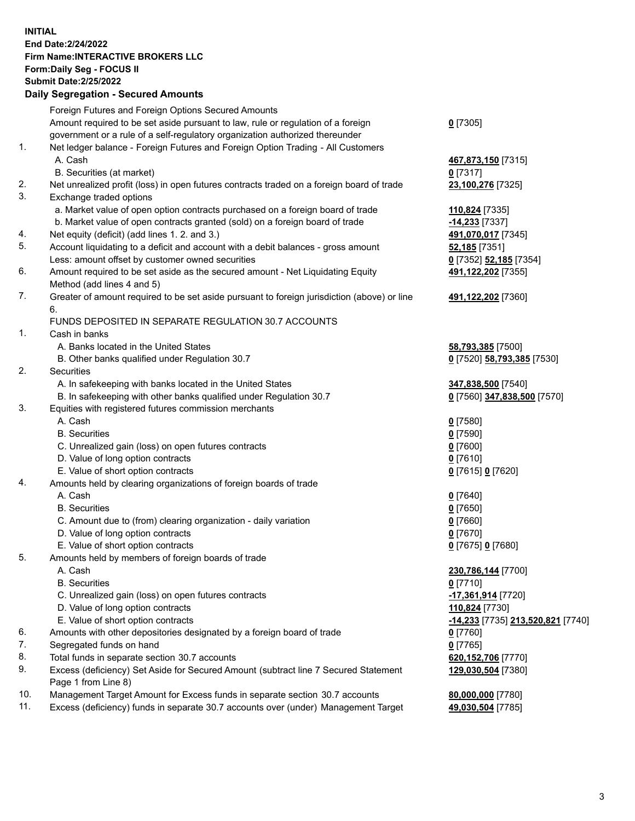**INITIAL End Date:2/24/2022 Firm Name:INTERACTIVE BROKERS LLC Form:Daily Seg - FOCUS II Submit Date:2/25/2022 Daily Segregation - Secured Amounts**

## Foreign Futures and Foreign Options Secured Amounts Amount required to be set aside pursuant to law, rule or regulation of a foreign government or a rule of a self-regulatory organization authorized thereunder **0** [7305] 1. Net ledger balance - Foreign Futures and Foreign Option Trading - All Customers A. Cash **467,873,150** [7315] B. Securities (at market) **0** [7317] 2. Net unrealized profit (loss) in open futures contracts traded on a foreign board of trade **23,100,276** [7325] 3. Exchange traded options a. Market value of open option contracts purchased on a foreign board of trade **110,824** [7335] b. Market value of open contracts granted (sold) on a foreign board of trade **-14,233** [7337] 4. Net equity (deficit) (add lines 1. 2. and 3.) **491,070,017** [7345] 5. Account liquidating to a deficit and account with a debit balances - gross amount **52,185** [7351] Less: amount offset by customer owned securities **0** [7352] **52,185** [7354] 6. Amount required to be set aside as the secured amount - Net Liquidating Equity Method (add lines 4 and 5) **491,122,202** [7355] 7. Greater of amount required to be set aside pursuant to foreign jurisdiction (above) or line 6. **491,122,202** [7360] FUNDS DEPOSITED IN SEPARATE REGULATION 30.7 ACCOUNTS 1. Cash in banks A. Banks located in the United States **58,793,385** [7500] B. Other banks qualified under Regulation 30.7 **0** [7520] **58,793,385** [7530] 2. Securities A. In safekeeping with banks located in the United States **347,838,500** [7540] B. In safekeeping with other banks qualified under Regulation 30.7 **0** [7560] **347,838,500** [7570] 3. Equities with registered futures commission merchants A. Cash **0** [7580] B. Securities **0** [7590] C. Unrealized gain (loss) on open futures contracts **0** [7600] D. Value of long option contracts **0** [7610] E. Value of short option contracts **0** [7615] **0** [7620] 4. Amounts held by clearing organizations of foreign boards of trade A. Cash **0** [7640] B. Securities **0** [7650] C. Amount due to (from) clearing organization - daily variation **0** [7660] D. Value of long option contracts **0** [7670] E. Value of short option contracts **0** [7675] **0** [7680] 5. Amounts held by members of foreign boards of trade A. Cash **230,786,144** [7700] B. Securities **0** [7710] C. Unrealized gain (loss) on open futures contracts **-17,361,914** [7720] D. Value of long option contracts **110,824** [7730] E. Value of short option contracts **-14,233** [7735] **213,520,821** [7740] 6. Amounts with other depositories designated by a foreign board of trade **0** [7760] 7. Segregated funds on hand **0** [7765] 8. Total funds in separate section 30.7 accounts **620,152,706** [7770] 9. Excess (deficiency) Set Aside for Secured Amount (subtract line 7 Secured Statement Page 1 from Line 8) **129,030,504** [7380] 10. Management Target Amount for Excess funds in separate section 30.7 accounts **80,000,000** [7780] 11. Excess (deficiency) funds in separate 30.7 accounts over (under) Management Target **49,030,504** [7785]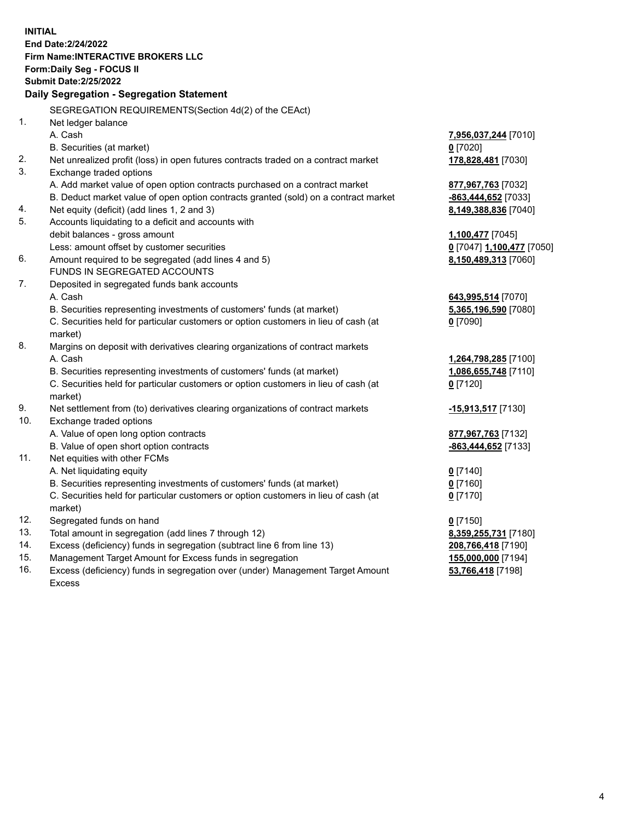**INITIAL End Date:2/24/2022 Firm Name:INTERACTIVE BROKERS LLC Form:Daily Seg - FOCUS II Submit Date:2/25/2022 Daily Segregation - Segregation Statement** SEGREGATION REQUIREMENTS(Section 4d(2) of the CEAct) 1. Net ledger balance A. Cash **7,956,037,244** [7010] B. Securities (at market) **0** [7020] 2. Net unrealized profit (loss) in open futures contracts traded on a contract market **178,828,481** [7030] 3. Exchange traded options A. Add market value of open option contracts purchased on a contract market **877,967,763** [7032] B. Deduct market value of open option contracts granted (sold) on a contract market **-863,444,652** [7033] 4. Net equity (deficit) (add lines 1, 2 and 3) **8,149,388,836** [7040] 5. Accounts liquidating to a deficit and accounts with debit balances - gross amount **1,100,477** [7045] Less: amount offset by customer securities **0** [7047] **1,100,477** [7050] 6. Amount required to be segregated (add lines 4 and 5) **8,150,489,313** [7060] FUNDS IN SEGREGATED ACCOUNTS 7. Deposited in segregated funds bank accounts A. Cash **643,995,514** [7070] B. Securities representing investments of customers' funds (at market) **5,365,196,590** [7080] C. Securities held for particular customers or option customers in lieu of cash (at market) **0** [7090] 8. Margins on deposit with derivatives clearing organizations of contract markets A. Cash **1,264,798,285** [7100] B. Securities representing investments of customers' funds (at market) **1,086,655,748** [7110] C. Securities held for particular customers or option customers in lieu of cash (at market) **0** [7120] 9. Net settlement from (to) derivatives clearing organizations of contract markets **-15,913,517** [7130] 10. Exchange traded options A. Value of open long option contracts **877,967,763** [7132] B. Value of open short option contracts **-863,444,652** [7133] 11. Net equities with other FCMs A. Net liquidating equity **0** [7140] B. Securities representing investments of customers' funds (at market) **0** [7160] C. Securities held for particular customers or option customers in lieu of cash (at market) **0** [7170] 12. Segregated funds on hand **0** [7150] 13. Total amount in segregation (add lines 7 through 12) **8,359,255,731** [7180] 14. Excess (deficiency) funds in segregation (subtract line 6 from line 13) **208,766,418** [7190] 15. Management Target Amount for Excess funds in segregation **155,000,000** [7194] 16. Excess (deficiency) funds in segregation over (under) Management Target Amount Excess **53,766,418** [7198]